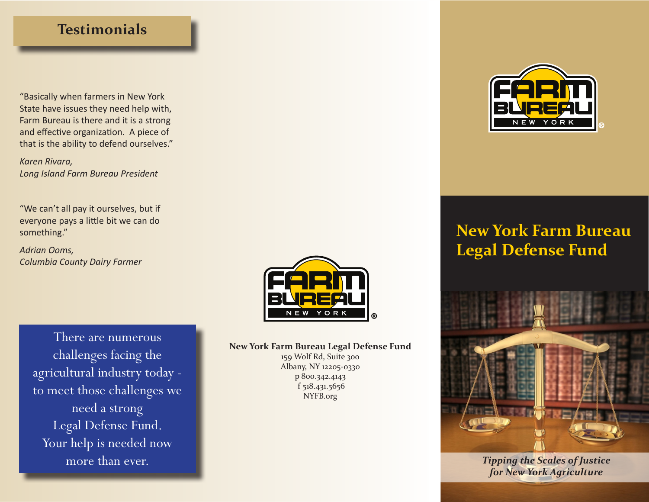## **Testimonials**

"Basically when farmers in New York State have issues they need help with, Farm Bureau is there and it is a strong and effective organization. A piece of that is the ability to defend ourselves."

*Karen Rivara, Long Island Farm Bureau President* 

"We can't all pay it ourselves, but if everyone pays a little bit we can do something."

*Adrian Ooms, Columbia County Dairy Farmer*

> There are numerous challenges facing the agricultural industry today to meet those challenges we need a strong Legal Defense Fund. Your help is needed now more than ever.



**New York Farm Bureau Legal Defense Fund**

159 Wolf Rd, Suite 300 Albany, NY 12205-0330 p 800.342.4143 f 518.431.5656 NYFB.org



## **New York Farm Bureau Legal Defense Fund**



*Tipping the Scales of Justice for New York Agriculture*